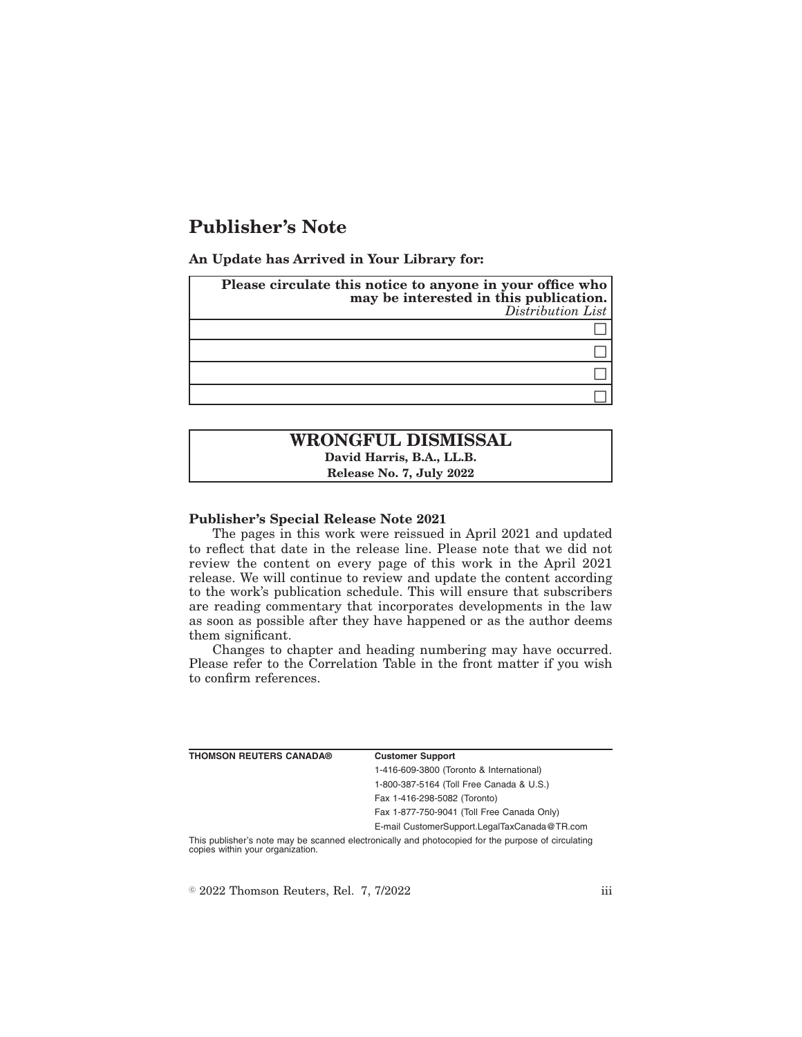# **Publisher's Note**

**An Update has Arrived in Your Library for:**

| Please circulate this notice to anyone in your office who<br>may be interested in this publication.<br>Distribution List |
|--------------------------------------------------------------------------------------------------------------------------|
|                                                                                                                          |
|                                                                                                                          |
|                                                                                                                          |
|                                                                                                                          |

## **WRONGFUL DISMISSAL David Harris, B.A., LL.B. Release No. 7, July 2022**

#### **Publisher's Special Release Note 2021**

The pages in this work were reissued in April 2021 and updated to reflect that date in the release line. Please note that we did not review the content on every page of this work in the April 2021 release. We will continue to review and update the content according to the work's publication schedule. This will ensure that subscribers are reading commentary that incorporates developments in the law as soon as possible after they have happened or as the author deems them significant.

Changes to chapter and heading numbering may have occurred. Please refer to the Correlation Table in the front matter if you wish to confirm references.

| <b>THOMSON REUTERS CANADA®</b>   | <b>Customer Support</b>                                                                            |
|----------------------------------|----------------------------------------------------------------------------------------------------|
|                                  | 1-416-609-3800 (Toronto & International)                                                           |
|                                  | 1-800-387-5164 (Toll Free Canada & U.S.)                                                           |
|                                  | Fax 1-416-298-5082 (Toronto)                                                                       |
|                                  | Fax 1-877-750-9041 (Toll Free Canada Only)                                                         |
|                                  | E-mail CustomerSupport.LegalTaxCanada@TR.com                                                       |
| copies within your organization. | This publisher's note may be scanned electronically and photocopied for the purpose of circulating |

 $\textdegree$  2022 Thomson Reuters, Rel. 7, 7/2022 iii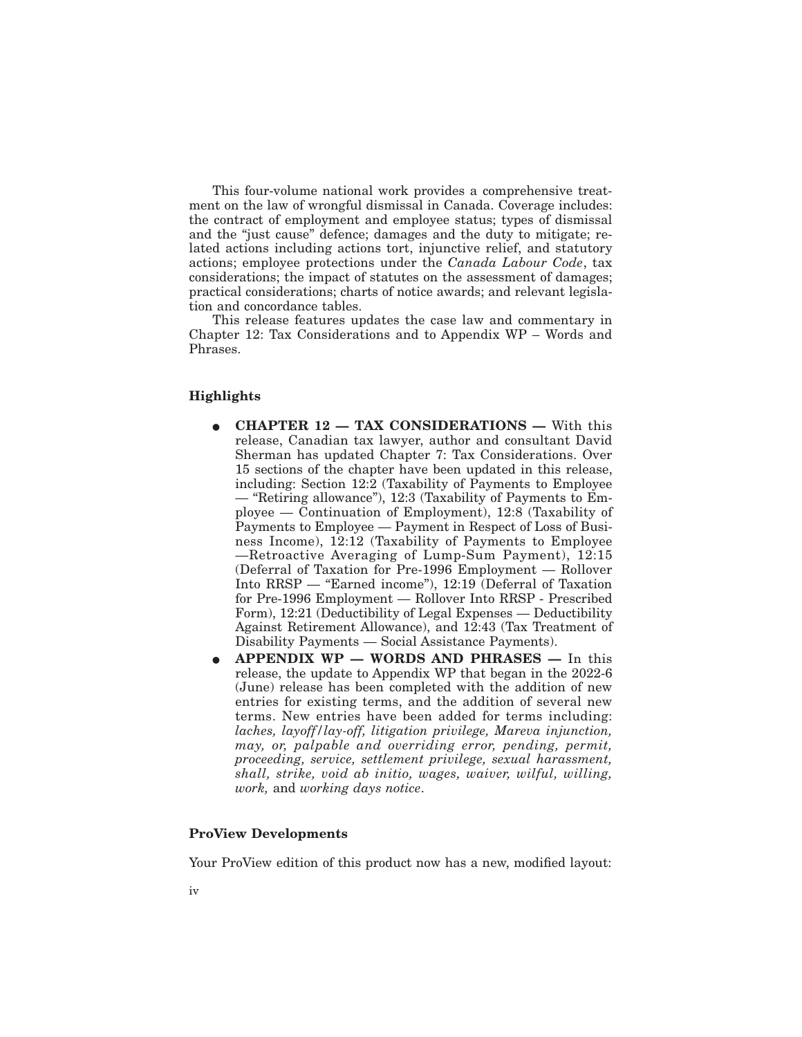This four-volume national work provides a comprehensive treatment on the law of wrongful dismissal in Canada. Coverage includes: the contract of employment and employee status; types of dismissal and the "just cause" defence; damages and the duty to mitigate; related actions including actions tort, injunctive relief, and statutory actions; employee protections under the *Canada Labour Code*, tax considerations; the impact of statutes on the assessment of damages; practical considerations; charts of notice awards; and relevant legislation and concordance tables.

This release features updates the case law and commentary in Chapter 12: Tax Considerations and to Appendix WP – Words and Phrases.

## **Highlights**

- E **CHAPTER 12 TAX CONSIDERATIONS —** With this release, Canadian tax lawyer, author and consultant David Sherman has updated Chapter 7: Tax Considerations. Over 15 sections of the chapter have been updated in this release, including: Section 12:2 (Taxability of Payments to Employee — "Retiring allowance"), 12:3 (Taxability of Payments to Employee — Continuation of Employment), 12:8 (Taxability of Payments to Employee — Payment in Respect of Loss of Business Income), 12:12 (Taxability of Payments to Employee —Retroactive Averaging of Lump-Sum Payment), 12:15 (Deferral of Taxation for Pre-1996 Employment — Rollover Into RRSP — "Earned income"), 12:19 (Deferral of Taxation for Pre-1996 Employment — Rollover Into RRSP - Prescribed Form), 12:21 (Deductibility of Legal Expenses — Deductibility Against Retirement Allowance), and 12:43 (Tax Treatment of Disability Payments — Social Assistance Payments).
- E **APPENDIX WP WORDS AND PHRASES —** In this release, the update to Appendix WP that began in the 2022-6 (June) release has been completed with the addition of new entries for existing terms, and the addition of several new terms. New entries have been added for terms including: *laches, layoff/lay-off, litigation privilege, Mareva injunction, may, or, palpable and overriding error, pending, permit, proceeding, service, settlement privilege, sexual harassment, shall, strike, void ab initio, wages, waiver, wilful, willing, work,* and *working days notice*.

## **ProView Developments**

Your ProView edition of this product now has a new, modified layout: